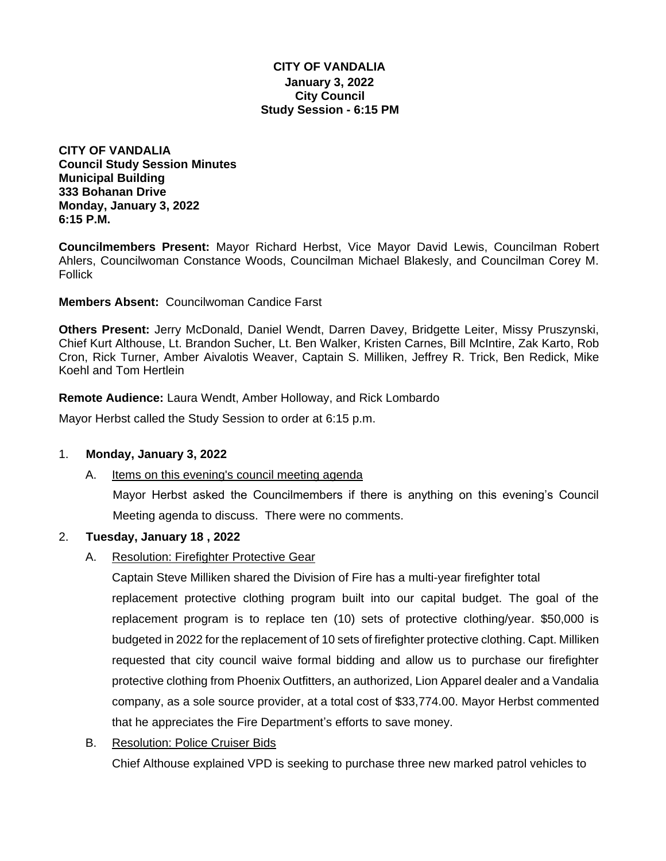## **CITY OF VANDALIA January 3, 2022 City Council Study Session - 6:15 PM**

**CITY OF VANDALIA Council Study Session Minutes Municipal Building 333 Bohanan Drive Monday, January 3, 2022 6:15 P.M.**

**Councilmembers Present:** Mayor Richard Herbst, Vice Mayor David Lewis, Councilman Robert Ahlers, Councilwoman Constance Woods, Councilman Michael Blakesly, and Councilman Corey M. Follick

**Members Absent:** Councilwoman Candice Farst

**Others Present:** Jerry McDonald, Daniel Wendt, Darren Davey, Bridgette Leiter, Missy Pruszynski, Chief Kurt Althouse, Lt. Brandon Sucher, Lt. Ben Walker, Kristen Carnes, Bill McIntire, Zak Karto, Rob Cron, Rick Turner, Amber Aivalotis Weaver, Captain S. Milliken, Jeffrey R. Trick, Ben Redick, Mike Koehl and Tom Hertlein

**Remote Audience:** Laura Wendt, Amber Holloway, and Rick Lombardo

Mayor Herbst called the Study Session to order at 6:15 p.m.

### 1. **Monday, January 3, 2022**

A. Items on this evening's council meeting agenda

Mayor Herbst asked the Councilmembers if there is anything on this evening's Council Meeting agenda to discuss. There were no comments.

# 2. **Tuesday, January 18 , 2022**

A. Resolution: Firefighter Protective Gear

Captain Steve Milliken shared the Division of Fire has a multi-year firefighter total

replacement protective clothing program built into our capital budget. The goal of the replacement program is to replace ten (10) sets of protective clothing/year. \$50,000 is budgeted in 2022 for the replacement of 10 sets of firefighter protective clothing. Capt. Milliken requested that city council waive formal bidding and allow us to purchase our firefighter protective clothing from Phoenix Outfitters, an authorized, Lion Apparel dealer and a Vandalia company, as a sole source provider, at a total cost of \$33,774.00. Mayor Herbst commented that he appreciates the Fire Department's efforts to save money.

B. Resolution: Police Cruiser Bids

Chief Althouse explained VPD is seeking to purchase three new marked patrol vehicles to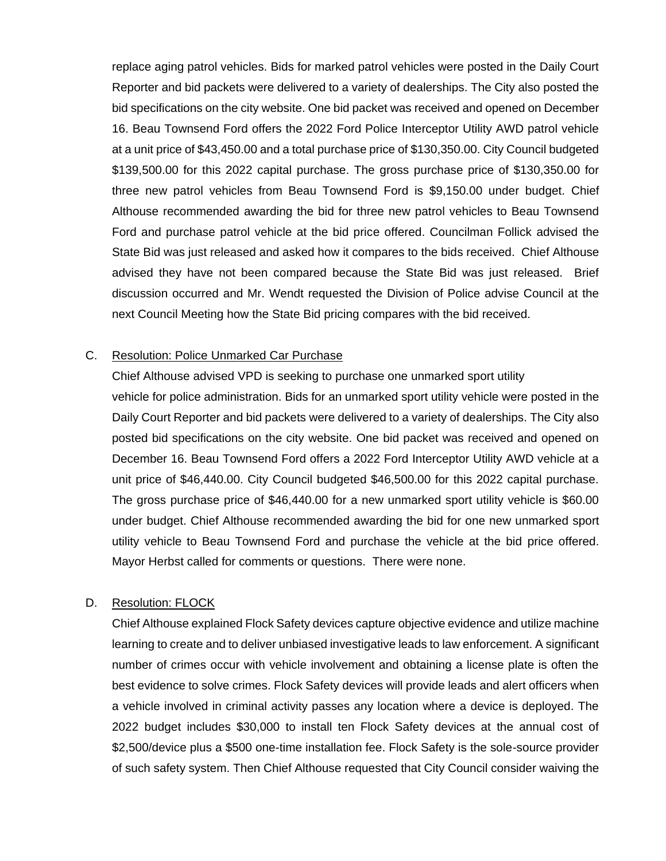replace aging patrol vehicles. Bids for marked patrol vehicles were posted in the Daily Court Reporter and bid packets were delivered to a variety of dealerships. The City also posted the bid specifications on the city website. One bid packet was received and opened on December 16. Beau Townsend Ford offers the 2022 Ford Police Interceptor Utility AWD patrol vehicle at a unit price of \$43,450.00 and a total purchase price of \$130,350.00. City Council budgeted \$139,500.00 for this 2022 capital purchase. The gross purchase price of \$130,350.00 for three new patrol vehicles from Beau Townsend Ford is \$9,150.00 under budget. Chief Althouse recommended awarding the bid for three new patrol vehicles to Beau Townsend Ford and purchase patrol vehicle at the bid price offered. Councilman Follick advised the State Bid was just released and asked how it compares to the bids received. Chief Althouse advised they have not been compared because the State Bid was just released. Brief discussion occurred and Mr. Wendt requested the Division of Police advise Council at the next Council Meeting how the State Bid pricing compares with the bid received.

### C. Resolution: Police Unmarked Car Purchase

Chief Althouse advised VPD is seeking to purchase one unmarked sport utility vehicle for police administration. Bids for an unmarked sport utility vehicle were posted in the Daily Court Reporter and bid packets were delivered to a variety of dealerships. The City also posted bid specifications on the city website. One bid packet was received and opened on December 16. Beau Townsend Ford offers a 2022 Ford Interceptor Utility AWD vehicle at a unit price of \$46,440.00. City Council budgeted \$46,500.00 for this 2022 capital purchase. The gross purchase price of \$46,440.00 for a new unmarked sport utility vehicle is \$60.00 under budget. Chief Althouse recommended awarding the bid for one new unmarked sport utility vehicle to Beau Townsend Ford and purchase the vehicle at the bid price offered. Mayor Herbst called for comments or questions. There were none.

### D. Resolution: FLOCK

Chief Althouse explained Flock Safety devices capture objective evidence and utilize machine learning to create and to deliver unbiased investigative leads to law enforcement. A significant number of crimes occur with vehicle involvement and obtaining a license plate is often the best evidence to solve crimes. Flock Safety devices will provide leads and alert officers when a vehicle involved in criminal activity passes any location where a device is deployed. The 2022 budget includes \$30,000 to install ten Flock Safety devices at the annual cost of \$2,500/device plus a \$500 one-time installation fee. Flock Safety is the sole-source provider of such safety system. Then Chief Althouse requested that City Council consider waiving the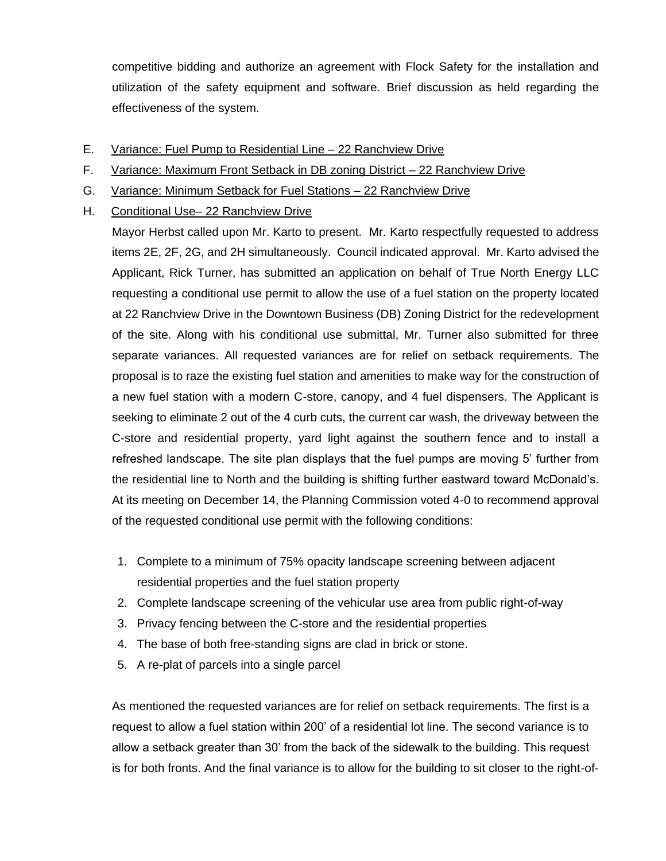competitive bidding and authorize an agreement with Flock Safety for the installation and utilization of the safety equipment and software. Brief discussion as held regarding the effectiveness of the system.

- E. Variance: Fuel Pump to Residential Line 22 Ranchview Drive
- F. Variance: Maximum Front Setback in DB zoning District 22 Ranchview Drive
- G. Variance: Minimum Setback for Fuel Stations 22 Ranchview Drive
- H. Conditional Use– 22 Ranchview Drive

Mayor Herbst called upon Mr. Karto to present. Mr. Karto respectfully requested to address items 2E, 2F, 2G, and 2H simultaneously. Council indicated approval. Mr. Karto advised the Applicant, Rick Turner, has submitted an application on behalf of True North Energy LLC requesting a conditional use permit to allow the use of a fuel station on the property located at 22 Ranchview Drive in the Downtown Business (DB) Zoning District for the redevelopment of the site. Along with his conditional use submittal, Mr. Turner also submitted for three separate variances. All requested variances are for relief on setback requirements. The proposal is to raze the existing fuel station and amenities to make way for the construction of a new fuel station with a modern C-store, canopy, and 4 fuel dispensers. The Applicant is seeking to eliminate 2 out of the 4 curb cuts, the current car wash, the driveway between the C-store and residential property, yard light against the southern fence and to install a refreshed landscape. The site plan displays that the fuel pumps are moving 5' further from the residential line to North and the building is shifting further eastward toward McDonald's. At its meeting on December 14, the Planning Commission voted 4-0 to recommend approval of the requested conditional use permit with the following conditions:

- 1. Complete to a minimum of 75% opacity landscape screening between adjacent residential properties and the fuel station property
- 2. Complete landscape screening of the vehicular use area from public right-of-way
- 3. Privacy fencing between the C-store and the residential properties
- 4. The base of both free-standing signs are clad in brick or stone.
- 5. A re-plat of parcels into a single parcel

As mentioned the requested variances are for relief on setback requirements. The first is a request to allow a fuel station within 200' of a residential lot line. The second variance is to allow a setback greater than 30' from the back of the sidewalk to the building. This request is for both fronts. And the final variance is to allow for the building to sit closer to the right-of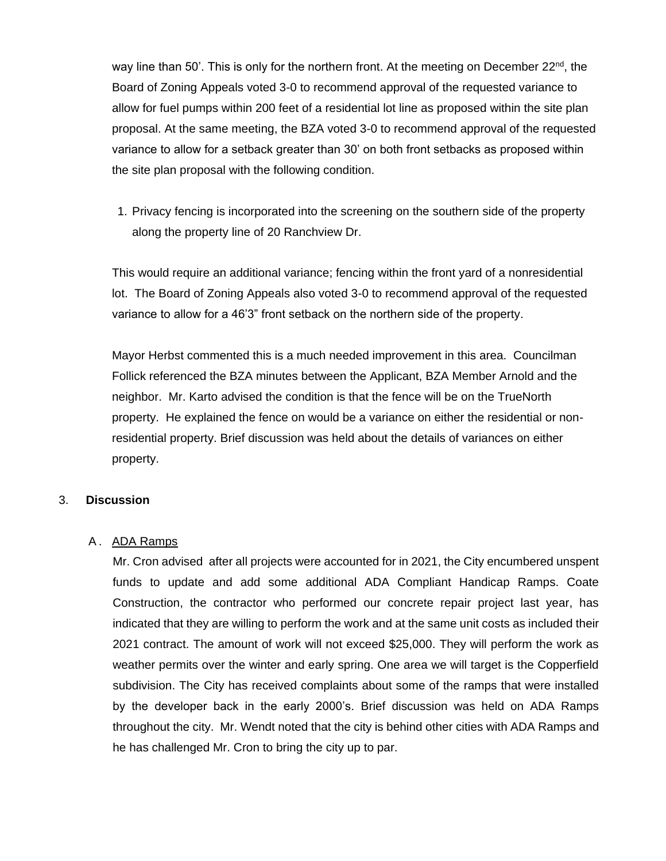way line than 50'. This is only for the northern front. At the meeting on December 22<sup>nd</sup>, the Board of Zoning Appeals voted 3-0 to recommend approval of the requested variance to allow for fuel pumps within 200 feet of a residential lot line as proposed within the site plan proposal. At the same meeting, the BZA voted 3-0 to recommend approval of the requested variance to allow for a setback greater than 30' on both front setbacks as proposed within the site plan proposal with the following condition.

1. Privacy fencing is incorporated into the screening on the southern side of the property along the property line of 20 Ranchview Dr.

This would require an additional variance; fencing within the front yard of a nonresidential lot. The Board of Zoning Appeals also voted 3-0 to recommend approval of the requested variance to allow for a 46'3" front setback on the northern side of the property.

Mayor Herbst commented this is a much needed improvement in this area. Councilman Follick referenced the BZA minutes between the Applicant, BZA Member Arnold and the neighbor. Mr. Karto advised the condition is that the fence will be on the TrueNorth property. He explained the fence on would be a variance on either the residential or nonresidential property. Brief discussion was held about the details of variances on either property.

### 3. **Discussion**

### A. ADA Ramps

Mr. Cron advised after all projects were accounted for in 2021, the City encumbered unspent funds to update and add some additional ADA Compliant Handicap Ramps. Coate Construction, the contractor who performed our concrete repair project last year, has indicated that they are willing to perform the work and at the same unit costs as included their 2021 contract. The amount of work will not exceed \$25,000. They will perform the work as weather permits over the winter and early spring. One area we will target is the Copperfield subdivision. The City has received complaints about some of the ramps that were installed by the developer back in the early 2000's. Brief discussion was held on ADA Ramps throughout the city. Mr. Wendt noted that the city is behind other cities with ADA Ramps and he has challenged Mr. Cron to bring the city up to par.